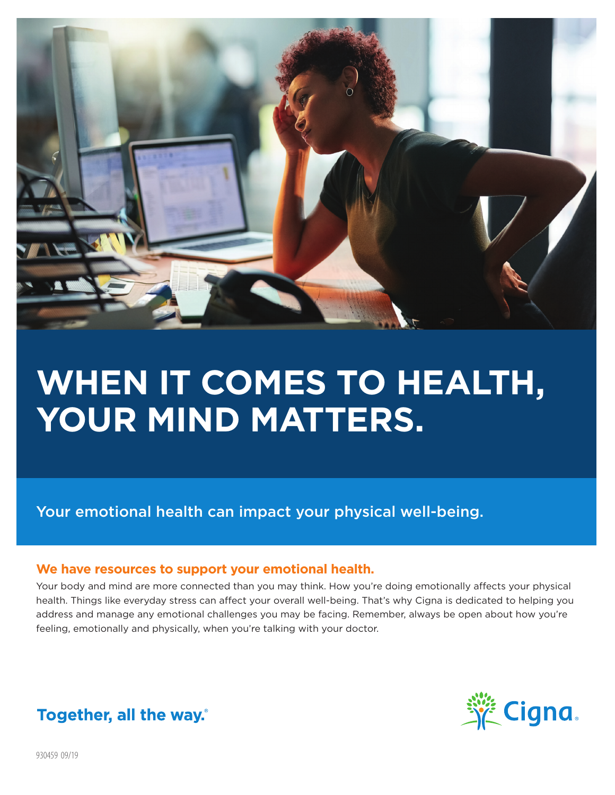

# **WHEN IT COMES TO HEALTH, YOUR MIND MATTERS.**

Your emotional health can impact your physical well-being.

#### **We have resources to support your emotional health.**

Your body and mind are more connected than you may think. How you're doing emotionally affects your physical health. Things like everyday stress can affect your overall well-being. That's why Cigna is dedicated to helping you address and manage any emotional challenges you may be facing. Remember, always be open about how you're feeling, emotionally and physically, when you're talking with your doctor.



## Together, all the way.

930459 09/19